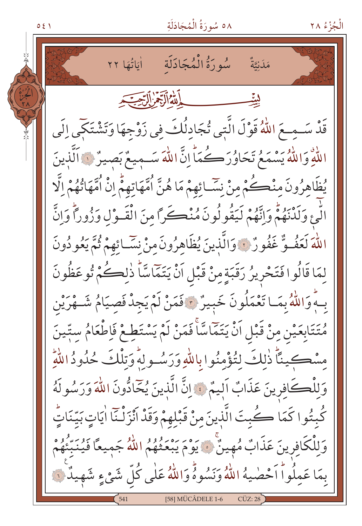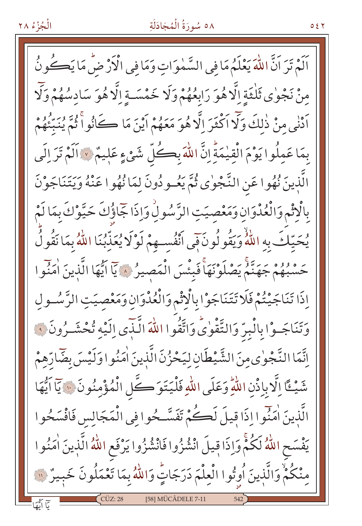#### ٥٨ سُورَةُ الْمُجَادَلَةِ

اَلَمْ تَرَ اَنَّ اللَّهَ يَعْلَمُ مَا فِي السَّمٰوَاتِ وَمَا فِي الْأَرْضِّ مَا يَكُونُ مِنْ نَجْوٰى ثَلْثَةِ اِلَّا هُوَ رَابِعُهُمْ وَلَا خَمْسَـةِ اِلَّا هُوَ سَادِسُهُمْ وَلَا اَدْنٰى منْ ذٰلكَ وَلَا اَكْثَرَ اِلَّا هُوَ مَعَهُمْ اَيْنَ مَا ڪَانُوا ثُمَّ يُنَبِّئُهُمْ بِمَا عَمِلُوا يَوْمَ الْقِيْمَةِّ إِنَّ اللَّهَ بِكُلِّ شَيْءٍ عَلِيمٌ ﴾ اَلَمْ تَرَ إِلَى الَّذِينَ نُهُوا عَنِ النَّجْوٰى ثُمَّ يَعُودُونَ لِمَا نُهُوا عَنْهُ وَيَتَنَاجَوْنَ بِالْإِثْمِ وَالْعُدْوَانِ وَمَعْصِيَتِ الرَّسُولِٰ وَإِذَا جَمَاؤُكَ حَيَّوْكَ بِمَا لَمْ يُحَيِّكَ بِهِ اللَّهُ وَيَقُولُونَ فِي أَنْفُسِهِمْ لَوْلَا يُعَذِّبُنَا اللَّهُ بِمَا نَقُولُ حَسْبُهُمْ جَهَنَّمُ يَصْلَوْنَهَاْ فَبِئْسَ الْمَصِيرُ ﴾ يَا ايُّهَا الَّذِينَ اٰمَنُوا إِذَا تَنَاجَيْتُمْ فَلَا تَتَنَاجَوْا بِالْإِثْمِ وَالْعُدْوَانِ وَمَعْصِيَتِ الرَّسُـولِ وَتَنَاجَـوْا بِالْبِرِّ وَالتَّقْوٰىِّ وَاتَّقُوا اللَّهَ الَّـذِّى اِلَيْه تُحْشَـرُونَ وَ اِنَّمَا النَّجْوٰىمِنَ الشَّيْطَانِ لِيَحْزُنَ الَّذِينَ اٰمَنُوا وَلَيْسَ بِضَّارِّهِمْ شَيْئًا إِلَّا بِإِذْنِ اللَّهِ وَعَلَى اللَّهِ فَلْيَتَوَكَّلِ الْمُؤْمِنُونَ ﴾ يَا اَيُّهَا الَّذِينَ اٰمَنَّوا اِذَا قِيلَ لَڪُمْ تَفَسَّـحُوا فِي الْمَجَالِس فَافْسَحُوا يَفْسَح اللَّهُ لَكُمّْ وَإِذَا قِيلَ انْشُزُوا فَانْشُزُوا يَرْفَع اللَّهُ الَّذِينَ اٰمَنُوا مِنْكُمْ وَالَّذِينَ أُوتُوا الْعِلْمَ دَرَجَاتٍّ وَاللَّهُ بِمَا تَعْمَلُونَ خَبِيرٌ ۞ [58] MÜCÂDELE 7-11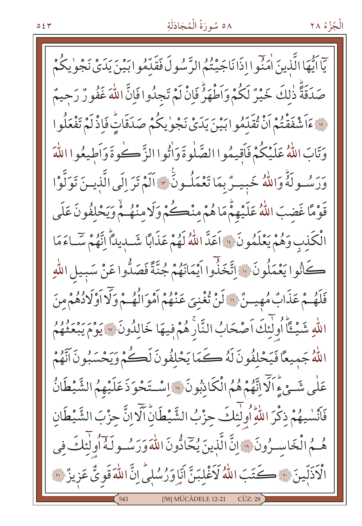#### ٥٨ سُورَةُ الْمُجَادَلَةِ

الْجُزْءُ ٢٨

يٓاَيُّهَا الَّذينَ اٰمَنُوا اِذَانَاجَيْتُمُ الرَّسُولَ فَقَدِّمُوابَيْنَ يَدَىْ نَجْوٰ يكُمْ صَدَقَةً ذٰلكَ خَيْرٌ لَكُمْ وَاَطْهَرُّ فَإِنْ لَمْ تَجِدُوا فَإِنَّ اللَّهَ غَفُورٌ رَحِيمٌ ii عَاَشْفَقْتُمْ أَنْ تُقَدِّمُوا بَيْنَ يَدَىْ نَجْوٰيكُمْ صَدَقَاتٍّ فَإِذْ لَمْ تَفْعَلُوا وَتَابَ اللَّهُ عَلَيْكُمْ فَأَقِيمُوا الصَّلٰوةَ وَأْتُوا الزَّكُوةَ وَأَطِيعُوا اللَّهَ وَرَسُولَهُ وَاللَّهُ خَبِيـرٌ بِمَا تَعْمَلُـونَ \* اَلَمْ تَرَ إِلَى الَّذِيـنَ تَوَلَّوْا قَوْمًا غَضِبَ اللَّهُ عَلَيْهِمْ مَا هُمْ مِنْڪُمْ وَلَا مِنْهُكُمْ وَيَحْلِفُونَ عَلَى الْكَذِبِ وَهُمْ يَعْلَمُونَ ۚ إِا أَعَدَّ اللَّهُ لَهُمْ عَذَابًا شَـٰدِيدًاۚ إِنَّهُمْ سَّـَاءَمَا كَانُوا يَعْمَلُونَ ۚ ﴿ اتَّخَذُّوا اَيْمَانَهُمْ جُنَّةً فَصَلُّوا عَنْ سَبِيلِ اللَّهِ فَلَهُمْ عَذَابٌ مُهِينٌ لِلَّا لَنْ تُغْنِيَ عَنْهُمْ أَمْوَالُهُمْ وَلَا أَوْلَادُهُمْ مِنَ اللّهِ شَيْـئًا أُولٰئِكَ اَصْحَابُ النَّارَ هُمْ فِيهَا خَالِدُونَ \* يَوْمَ يَبْعَثُهُمُ اللَّهُ جَمِيعًا فَيَحْلِفُونَ لَهُ كَمَا يَحْلفُونَ لَكُمْ وَيَحْسَبُونَ أَنَّهُمْ عَلَى شَئْ ءِ اَلَّا اِنَّهُمْ هُمُ الْكَاذِبُونَ ﴾ إِسْتَخْوَذَ عَلَيْهِمُ الشَّيْطَانُ فَأَنْسٰيهُمْ ذِكْرَ اللّٰهِ أُولٰئِكَ حِزْبُ الشَّيْطَانِۙ أَلَّا اِنَّ حِزْبَ الشَّيْطَانِ هُـمُ الْخَاسِيرُونَ ۚ وَ إِنَّ الَّذِينَ يُحَادُّونَ اللَّهَ وَرَسُـولَهُ أُولٰئِكَ فِي الْأَذَلِّينَ فِي كَتَبَ اللَّهُ لَأَغْلِبَنَّ أَيَا وَرُسُلِيٍّ إِنَّ اللَّهَ قَوِيٌّ عَزِيزٌ فَيْ [58] MÜCÂDELE 12-21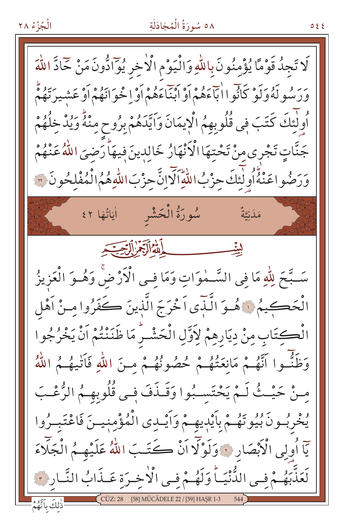#### ٥٨ سُورَةُ الْمُجَادَلَةِ

०११

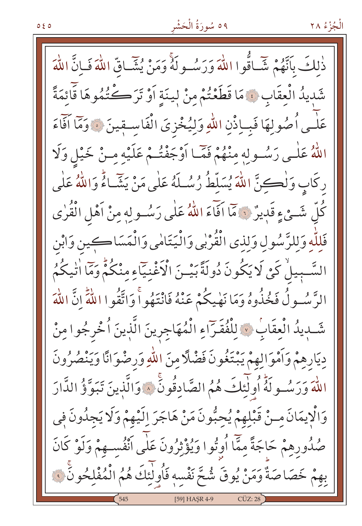ذٰلكَ بِأَنَّهُمْ شَّياقُوا اللَّهَ وَرَسُـولَهُ وَمَنْ يُشَّـاقِّ اللَّهَ فَبِانَّ اللَّهَ شَدِيدُ الْعِقَابِ ﴾ مَا قَطَعْتُمْ مِنْ لِينَةِ أَوْ تَرَكْتُمُوهَا قَائِمَةً عَلْمِي أُصُولِهَا فَبِياذْنِ اللَّهِ وَلِيُخْزِيَ الْفَاسِيقِينَ ﴾ وَمَا آفَاءَ اللَّهُ عَلَى رَسُولِهِ مِنْهُمْ فَمَّا أَوْجَفْتُمْ عَلَيْهِ مِنْ خَيْلٍ وَلَا رِكَابٍ وَلْكِنَّ اللَّهَ يُسَلِّطُ رُسُلَهُ عَلَى مَنْ يَشَاءُ وَاللَّهُ عَلَى كُلِّ شَيْءٍ قَدِيرٌ ﴾ مَا اَفَاءَ اللَّهُ عَلَى رَسُولِهِ مِنْ اَهْلِ الْقُرٰى فَلِلَّهِ وَلِلرَّسُولِ وَلِذِي الْقُرْبِي وَالْيَتَامِي وَالْمَسَاكِينِ وَابْنِ السَّبِيلْ كَيْ لَا يَكُونَ دُولَةً بَيْـنَ الْأَغْنِيَاءِ مِنْكُمْ وَمَا اٰتِيكُمُ الرَّسُـولُ فَخُذُوهُ وَمَا نَهْيِكُمْ عَنْهُ فَانْتَهُواْ وَاتَّقُوا اللَّهِ إِنَّ اللَّهَ شَّبِيدُ الْعِقَابِ ﴾ لِلْفُقَرَاءِ الْمُهَاجِرِينَ الَّذِينَ أُخْرِجُوا مِنْ دِيَارِهِمْ وَأَمْوَالِهِمْ يَبْتَغُونَ فَضْلًا مِنَ اللّهِ وَرِضْوَانًا وَيَنْصُرُونَ اللَّهَ وَرَسُولَهُ أُولٰئِكَ هُمُ الصَّادِقُونَ ۞ وَالَّذِينَ تَبَوَّؤُ الدَّارَ وَالْإِيمَانَ مِـنْ قَبْلِهِمْ يُحِبُّونَ مَنْ هَاجَرَ إِلَيْهِمْ وَلَا يَجِدُونَ فِي صُدُورِهِمْ حَاجَةً مِمَّا اُوتُوا وَيُؤْثِرُونَ عَلَى اَنْفُسِـهِمْ وَلَوْ كَانَ بِهِمْ خَصَاصَةٌ وَمَنْ يُوقَ شُحَّ نَفْسِهِ فَأُولَٰئِكَ هُمُ الْمُفْلِحُونَ ﴾ [59] HASR 4-9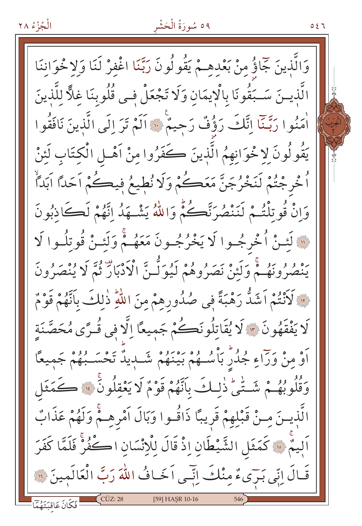# ٥٩ سُورَةُ الْحَشْر

 $057$ 

وَالَّذِينَ جَمَاؤُ مِنْ بَعْدِهِـمْ يَقُولُونَ رَبَّنَا اغْفِرْ لَنَا وَلا خُوَاننَا الَّذِينَ سَـبَقُونَا بِالْإِيمَانِ وَلَا تَجْعَلْ فِـي قُلُوبِنَا غِلًّا لِلَّذِينَ أَمَنُوا رَبَّنَا إِنَّكَ رَؤُفٌ رَحِيمٌ ۚ ۚ آلَمْ تَرَ إِلَى الَّذِينَ نَافَقُوا يَقُولُونَ لِا خْوَانِهِمُ الَّذِينَ كَفَرُوا مِنْ آهْـلِ الْكِتَابِ لَئِنْ اُ خْرِجْتُمْ لَنَخْرُجَنَّ مَعَڪُمْ وَلَا نُطِيعُ فِيڪُمْ اَحَدًا اَبَدَأُ وَانْ قُوتِلْتُمْ لَنَنْصُرَنَّكُمْ وَاللَّهُ يَشْبَهَدُ إِنَّهُمْ لَكَاذِبُونَ لَّهَ لَئِـنْ اُخْرِجُـوا لَا يَخْرُجُـونَ مَعَهُـمْ وَلَئـنْ قُوتِلُـوا لَا يَنْصُرُونَهُمْ وَلَئِنْ نَصَرُوهُمْ لَيُوَلُّنَّ الْأَدْبَارَ ثُمَّ لَا يُنْصَرُونَ لَ الْمَنْتُمْ اَشَدُّ رَهْبَةً فِي صُدُورِهِمْ مِنَ اللَّهِ ذٰلِكَ بِاَنَّهُمْ قَوْمٌ لَا يَفْقَهُونَ \* لَا يُقَاتِلُونَكُمْ جَمِيعًا اِلَّا فِي قُـرًى مُحَصَّنَةِ أَوْ مِنْ وَرَاءِ جُدُرٌ بَأْسُـهُمْ بَيْنَهُمْ شَـٰدِيدٌ تَحْسَـبُهُمْ جَمِيعًا وَقُلُوبُهُمْ شَتِّيّْ ذٰلِكَ بِأَنَّهُمْ قَوْمٌ لَا يَعْقِلُونَ ۞ كَمَثَل الَّذِيسَ مِنْ قَبْلِهِمْ قَرِيبًا ذَاقُـوا وَبَالَ أَمْرِهِـمْ وَلَهُمْ عَذَابٌ اَلِيمٌ ۞ كَمَثَلِ الشَّيْطَانِ إِذْ قَالَ لِلْإِنْسَانِ اكْفُرُّ فَلَمَّا كَفَرَ قَالَ إِنِّي بَرِّيءٌ مِنْكَ إِنِّي اَخَافُ اللَّهَ رَبَّ الْعَالَمِينَ ۞ [59] HAŞR 10-16 فَكَانَ عَاقبَتَهُمَّا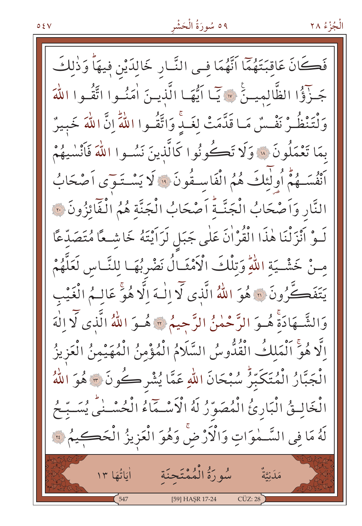فَكَانَ عَاقِبَتَهُمَّا اَنَّهُمَا فِي النَّـارِ خَالِدَيْنِ فِيهَا وَذٰلِكَ جَـزْؤُا الظَّالمِيـنَّ \* يَـّا اَيُّهَـا الَّذِيـنَ اٰمَنُـوا اتَّقُـوا اللَّهَ وَلْتَنْظُّرْ نَفْسٌ مَـا قَدَّمَتْ لغَـدٍّ وَاتَّقُـوا اللَّهِ إِنَّ اللَّهَ خَبِيرٌ بِمَا تَعْمَلُونَ ۚ إِلَّا تَكُونُوا كَالَّذِينَ نَسُـوا اللَّهَ فَأَنْسٰيهُمْ أَنْفُسَهُمْ أُولَٰٓئِكَ هُمُ الْفَاسِـقُونَ ۚ ۚ لَا يَسْـتَـوَى أَصْحَابُ النَّارِ وَأَصْحَابُ الْجَنَّـةُ أَصْحَابُ الْجَنَّة هُمُ الْفَائِزُونَ ۞ لَــوْ اَنْزَلْنَا هٰذَا الْقُرْاٰنَ عَلٰى جَبَلٍ لَرَاَيْتَهُ خَاشِــعًا مُتَصَدِّعًا مِنْ خَشْيَةِ اللَّهِ وَتِلْكَ الْأَمْثَـالُ نَضْرِبُهَـا لِلنَّـاسِ لَعَلَّهُمْ يَتَفَكَّرُونَ ۞ هُوَ اللَّهُ الَّذِي لَّا إِلَٰهَ إِلَّا هُوَّ عَالِمُ الْغَيْبِ وَالشَّـهَادَةِ هُـوَ الرَّحْمٰنُ الرَّحِيمُ \* هُـوَ اللهُ الَّذي لَا الْهَ الَّا هُوَّ اَلْمَلكُ الْقُدُّوسُ السَّلَامُ الْمُؤْمِنُ الْمُهَيْمِنُ الْعَزِيزُ الْجَبَّارُ الْمُتَكَبِّرُ سُبْحَانَ اللهِ عَمَّا يُشْرِكُونَ ۞ هُوَ اللهُ الْخَالِثُ الْبَارِئُ الْمُصَوَّرُ لَهُ الْأَسْمَاءُ الْكُسْنَى يُسَبِّحُ لَهُ مَا فِي السَّـٰمٰوَاتِ وَالْأَرْضَ وَهُوَ الْعَزِيزُ الْحَكِــِمُ لَهَ مَلَزِيَّةٌ مُّهُورَةُ الْمُمْتَحِنَة أِيَاتُهَا ١٣  $CÜZ:28$ [59] HAŞR 17-24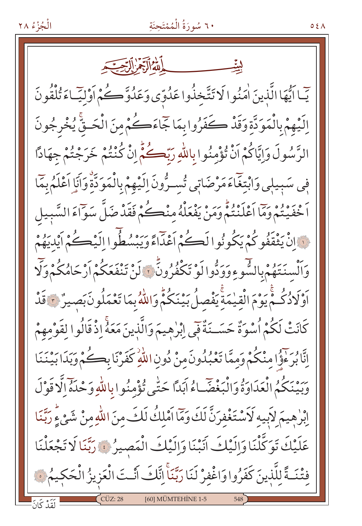# ٦٠ سُورَةُ الْمُمْتَحِنَةِ

بأمله أأجمر ألتحت يٓ ] أَيُّهَا الَّذِينَ اٰمَنُوا لَا تَتَّخذُوا عَدُوِّي وَعَدُوَّكُمْ أَوْلَيَّاءَ تُلْقُونَ اِلَيْهِمْ بِالْمَوَدَّةِ وَقَدْ كَفَرُوا بِمَا جَمَاءَكُمْ مِنَ الْحَتَّى يُخْرِجُونَ الرَّسُولَ وَإِيَّاكُمْ اَنْ تُؤْمِنُوا بِاللَّهِ رَبِّكُمُّ إِنْ كُنْتُمْ خَرَجْتُمْ جِهَادًا فِي سَبِيلِي وَابْتِغَاءَ مَرْضَاتِي تُسِيرُونَ اِلَيْهِمْ بِالْمَوَدَّةِ وَأَنَا اَعْلَمُ بِمَا أَخْفَيْتُمْ وَمَا أَعْلَنْتُمْ وَمَنْ يَفْعَلْهُ مِنْڪُمْ فَقَدْ ضَلَّ سَوَاءَ السَّبِيل نِ إِنْ يَثْقَفُو كُمْ يَكُونُوا لَكُمْ أَعْدَاءً وَيَبْسُطُوا الَيْڪُمْ أَيْدِيَهُمْ وَٱلْسِنَتَهُمْ بِالشَّوءِوَوَدُّوا لَوْ تَكْفُرُونَّ ۞ لَنْ تَنْفَعَكُمْ أَرْحَامُكُمْ وَلَّا اَوْلَادُكُمْ يَوْمَ الْقِيْمَةِ يَفْصِلُ بَيْنَكُمْ وَاللَّهُ بِمَا تَعْمَلُونَ بَصِيرٌ ﴿ قَدْ كَانَتْ لَكُمْ أُسْوَةٌ حَسَــنَةٌ فِي إبْرٰهِيمَ وَالَّذِينَ مَعَهُ إِذْ قَالُوا لِقَوْمِهِمْ إِنَّا بُرَعْوًّا مِنْكُمْ وَمِمَّا تَعْبُلُونَ مِنْ دُونِ اللَّهِ كَفَرْنَا بِكُمْ وَبَدَا بَيْنَنَا عِبَهُ مِنْكُمُ الْعَدَاوَةُ وَالْبَغْضَـاءُ آبَداً حَتّٰى تُؤْمِنُوا بِاللّٰهِ وَحْدَهُ إِلَّا قَوْلَ إِبْرٰهِيمَ لاَبِيهِ لَاَسْتَغْفِرَنَّ لَكَ وَمَّا اَمْلِكُ لَكَ مِنَ اللّهِ مِنْ شَيْءٍ رَبَّنَا عَلَيْكَ تَوَكَّلْنَا وَإِلَيْكَ أَنَبْنَا وَإِلَيْكَ الْمَصِيرُ ﴾ رَبَّنَا لَا تَجْعَلْنَا فِتْنَـةً للَّذينَ كَفَرُوا وَاغْفِرْ لَنَا رَبَّنَاْ اِنَّكَ أَنْـتَ الْعَزِيزُ الْحَكِيمُ فَ [60] MÜMTEHİNE 1-5

 $05\Lambda$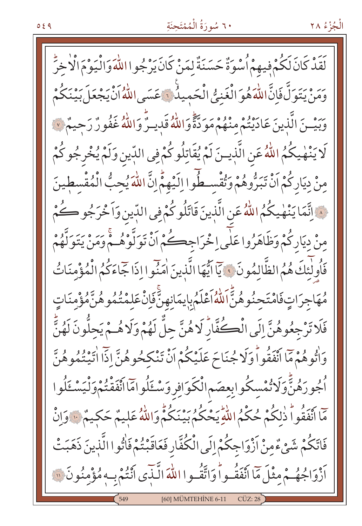### ٦٠ سُورَةُ الْمُمْتَجِنَةِ

الْجُزْءُ ٢٨

كَمَّدُ كَانَ لَكُمْ فِيهِمْ أُسْوَةٌ حَسَنَةٌ لِمَنْ كَانَ يَرْجُوا اللَّهَ وَالْيَوْمَ الْأَخِرُّ رَ بِهِ وَيَرَوَنَّ فَإِنَّ اللَّهَ هُوَ الْغَنِيُّ الْحَمِيلُونَ عَسَى اللَّهُ أَنْ يَجْعَلَ بَيْنَكُمْ رَ وَبَيْــنَ الَّذِينَ عَادَيْتُمْ مِنْهُمْ مَوَدَّةً وَاللَّهُ قَدِيـرٌ وَاللَّهُ غَفُورٌ رَحِيمٌ ٧ لَا يَنْهٰيكُمُ اللّٰهُ عَنِ الَّذِينَ لَمْ يُقَاتِلُوكُمْ فِي الدِّينِ وَلَمْ يُخْرِجُوكُمْ مِنْ دِيَارِكُمْ أَنْ تَبَرُّوهُمْ وَتُقْسِطُوا إِلَيْهِمْ إِنَّ اللَّهَ يُحِبُّ الْمُقْسِطِينَ ﴾ إِنَّمَا يَنْهٰدِكُمُ اللَّهُ عَنِ الَّذِينَ قَاتَلُوكُمْ فِي الدِّينِ وَاَخْرَجُو كُمْ مِنْ دِيَارِكُمْ وَظَاهَرُوا عَلَى اِخْرَاجِكُمْ أَنْ تَوَلَّوْهُـمْ وَمَنْ يَتَوَلَّهُمْ فَأُولَٰئِكَ هُمُ الظَّالِمُونَ ﴾ يَآ ايُّهَا الَّذِينَ اٰمَنُوا إِذَا جَاءَكُمُ الْمُؤْمِنَاتُ مُهَاجِرَاتٍفَامْتَجِنُوهُنَّ اللَّهُ اَعْلَمُ بِإِيمَانِهِنَّ فَإِنْ عَلِمْتُمُوهُنَّ مُؤْمِنَاتٍ فَلَا تَرْجِعُوهُنَّ إِلَى الْكُفَّارُّ لَاهُنَّ حِلٌّ لَهُمْ وَلَاهُـمْ يَحِلُّونَ لَهُنٌّ وَاتُوهُمْ مَا انْفَقُواْ وَلَا جُنَاحَ عَلَيْكُمْ اَنْ تَنْكَحُوهُنَّ إِذَا اتَّيْتُمُوهُنَّ ٱجُورَهُنَّ وَلَاتُمْسِكُوابِعِصَمِ الْكَوَافِرِ وَسْــَٰٓلُوامٓا انْفَقْتُمْ وَلْيَسْــَٰٓلُوا مَّا أَنْفَقُوا ذٰلِكُمْ حُكْمُ اللّهِ يَحْكُمُ بَيْنَكُمّْ وَاللّهُ عَلِيمٌ حَكِيمٌ ۚ وَإِنْ فَاتَكُمْ شَيْءٌمِنْ أَزْوَاجِكُمْ إِلَى الْكُفَّارِ فَعَاقَبْتُمْ فَاْتُوا الَّذِينَ ذَهَبَتْ اَزْوَاجُهُـمْ مِثْلَ مَاۤ اَنْفَقُـواْ وَاتَّقُـوا اللّٰهَ الَّـّٰذِى اَنْتُمْ بِـهِ مُؤْمِنُونَ ۞ [60] MÜMTEHİNE 6-11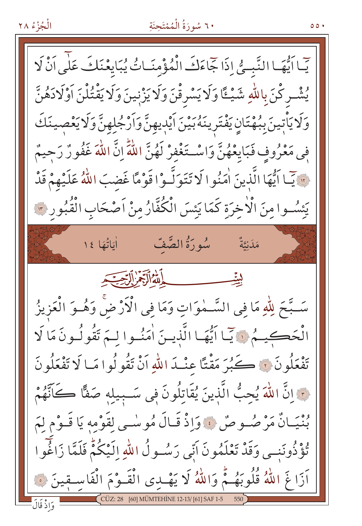# ٦٠ سُورَةُ الْمُمْتَحِنَةِ

، ه ه

يِّمَا أَيُّهَا النَّبِّسُّ إِذَا جِّاءَكَ الْمُؤْمِنَـاتُ يُبَايِعْنَكَ عَلَى أَنْ لَا يُشْرِكْنَ بِاللَّهِ شَيْــًا وَلَا يَسْرِقْنَ وَلَا يَزْنِينَ وَلَا يَقْتُلْنَ آوْلَادَهُنَّ وَلَا يَأْتِينَ بِبُهْتَانِ يَفْتَرِينَهُ بَيْنَ اَيْدِيهِنَّ وَاَرْجُلِهِنَّ وَلَا يَعْصِينَكَ فِي مَعْرُوفٍ فَبَايِعْهُنَّ وَاسْتَغْفِرْ لَهُنَّ اللَّهِ إِنَّ اللَّهَ غَفُورٌ رَحِيمٌ · يَبَـا أَيُّهَا الَّذِينَ اٰمَنُوا لَا تَتَوَلَّـوْا قَوْمًا غَضبَ اللَّهُ عَلَيْهِمْ قَدْ يَئْسُوامِنَ الْأَخِرَةِ كَمَا يَئْسَ الْكُفَّارُمِنْ أَصْحَابِ الْقُبُورِيِّ سُورَةُ الصَّفِّ أَيَاتُهَا ١٤ مَلَىٰتَةٌ لِيتِّ سَـبَّحَ لِلّٰهِ مَا فِي السَّـمٰوَاتِ وَمَا فِي الْأَرْضَ وَهُـوَ الْعَزِيزُ الْحَكِيمُ ﴾ آيَّا اَيُّهَا الَّذِينَ اٰمَنُوا لِمَ تَقُولُونَ مَا لَا تَفْعَلُونَ ۚ وَالصَّحْبُرَ مَقْتًا عِنْـدَ اللّهِ أَنْ تَقُولُوا مَـا لَا تَفْعَلُونَ نَ إِنَّ اللَّهَ يُحِبُّ الَّذِينَ يُقَاتِلُونَ فِي سَـبِيلِهِ صَفًّا كَانَّهُمْ بُنْيَـانٌ مَرْصُـوصٌ فَ وَإِذْ قَـالَ مُوسٰـى لِقَوْمِهِ يَا قَـوْمِ لَمَ تُؤْذُونَنِي وَقَدْ تَعْلَمُونَ اَبِّي رَسُولُ اللّٰهِ إِلَيْكُمْ فَلَمَّا زَاغُوا اَزَاغَ اللَّهُ قُلُوبَهُـمُّ وَاللَّهُ لَا يَهْدِى الْقَـوْمَ الْفَاسـقِينَ ۞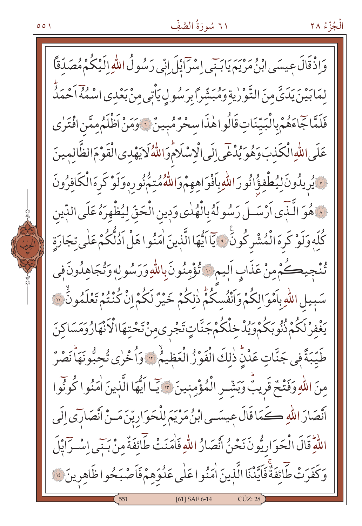#### ٦١ سُورَةُ الصَّفِّ

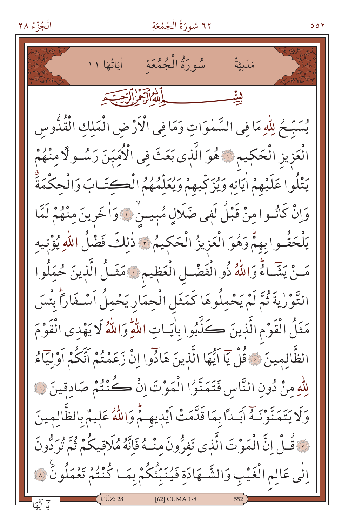الْجُزْءُ ٢٨

٦٢ سُورَةُ الْجُمُعَةِ

مَلَىٰتَةٌ لأملة الآجم التحقيقه يُسَبِّحُ لِلَّهِ مَا فِي السَّمٰوَاتِ وَمَا فِي الْأَرْضِ الْمَلِكِ الْقُدُّوس الْعَزِيزِ الْحَكِيمِ ﴾ هُوَ الَّذِي بَعَثَ فِي الْأُمِّيِّنَ رَسُـو لَا مِنْهُمْ يَتْلُوا عَلَيْهِمْ اٰيَاتِهِ وَيُزَكِّيهِمْ وَيُعَلِّمُهُمُ الْكِتَـَابَ وَالْحِكْمَةَ وَإِنْ كَانُوا مِنْ قَبْلُ لَفِي ضَلَالٍ مُبِيسٌ ۚ وَالْخَرِينَ مِنْهُمْ لَمَّا يَلْحَقُوا بِهِمْ وَهُوَ الْعَزِيزُ الْحَكِيمُ \* ذٰلِكَ فَضْلُ اللّهِ يُؤْتِيهِ مَنْ يَتَّبَاءُ وَاللَّهُ ذُو الْفَضْلِ الْعَظِيمِ ﴾ مَثَــلُ الَّذِينَ حُمِّلُوا التَّوْرٰيةَ ثُمَّ لَمْ يَحْمِلُوهَا كَمَثَلِ الْحِمَارِ يَحْمِلُ اَسْـفَاراً بِئْسَ مَثَلُ الْقَوْمِ الَّذِينَ كَذَّبُوا بِاٰيَـاتِ اللَّهِ وَاللَّهُ لَا يَهْدِى الْقَوْمَ الظَّالمينَ ۞ قُلْ يَاۤ اَيُّهَا الَّذِينَ هَادُوا اِنْ زَعَمْتُمْ اَتَّكُمْ اَوْلِيَاۤءُ لِلَّهِ مِنْ دُونِ النَّاسِ فَتَمَنَّوُا الْمَوْتَ إِنْ كُنْتُمْ صَادقينَ لِهِ وَلَا يَتَمَنَّوْنَـهُ آبَـداً بِمَا قَدَّمَتْ آيْدِيهِـمّْ وَاللّهُ عَلِيمٌ بِالظَّالِمِينَ لِ ۚ قُـلْ إِنَّ الْمَوْتَ الَّذِي تَفِرُّونَ مِنْـ 4ُ فَإِنَّهُ مُلَاقِيكُمْ ثُمَّ تُرَدُّونَ اِلٰى عَالِمِ الْغَيْبِ وَالشَّــهَادَةِ فَيُنَبِّئُكُمْ بِمَـا كُنْتُمْ تَعْمَلُونَ ۞ [62] CUMA 1-8

 $001$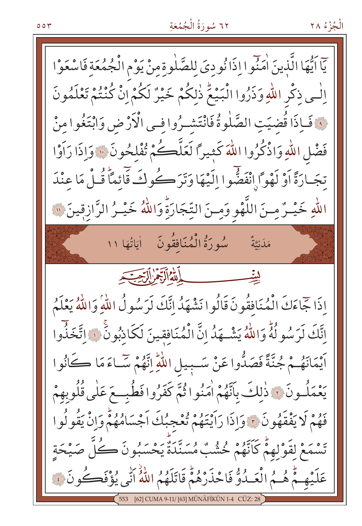#### ٥٥٣

# ٦٢ سُورَةُ الْجُمُعَةِ

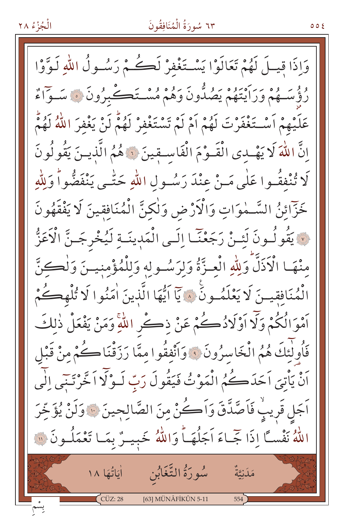#### ٦٣ سُورَةُ الْمُنَافِقُونَ

وَإِذَا قِيلَ لَهُمْ تَعَالَوْا يَسْتَغْفِرْ لَكُمْ رَسُولُ اللّهِ لَوَّوْا رؤسهُمْ وَرَايْتُهُمْ يَصُدُّونَ وَهُمْ مُسْتَكَـٰبِرُونَ ۞ سَـوَاءٌ عَلَيْهِمْ أَسْتَغْفَرْتَ لَهُمْ أَمْ لَمْ تَسْتَغْفِرْ لَهُمْ لَنْ يَغْفِرَ اللَّهُ لَهُمْ إِنَّ اللَّهَ لَا يَهْدِى الْقَـوْمَ الْفَاسِـقِينَ لَهُ هُمُ الَّذِيـنَ يَقُولُونَ لَا تُنْفِقُوا عَلَى مَـنْ عِنْدَ رَسُـولِ اللّهِ حَتّٰـى يَنْفَضُّواْ وَلِلّهِ خَزّائِنُ السَّـمٰوَاتِ وَالْأَرْضِ وَلٰكِنَّ الْمُنَافِقِينَ لَا يَفْقَهُونَ لاَ يَقُولُونَ لَئِنْ رَجَعْنَا إِلَى الْمَدِينَةِ لَيُخْرِجَنَّ الْأَعَزُّ منْهَا الْأَذَلَّ وَلِلّهِ الْعِزَّةُ وَلِرَسُولِهِ وَلِلْمُؤْمِنِينَ وَلِصَحِنَّ الْمُنَافِقِينَ لَا يَعْلَمُونَ ۚ ﴾ يَآ اَيُّهَا الَّذِينَ اٰمَنُوا لَا تُلْهِڪُمْ اَمْوَالُكُمْ وَلَّا اَوْلَادُكُمْ عَنْ ذِكْرِ اللَّهِ وَمَنْ يَفْعَلْ ذٰلِكَ فَأُولٰئكَ هُمُ الْخَاسِرُونَ ﴾ وَأَنْفِقُوا مِمَّا رَزَقْنَا كُمْ مِنْ قَبْلِ أَنْ يَأْتِيَ اَحَدَكُمُ الْمَوْتُ فَيَقُولَ رَبِّ لَـوْلَّا اَخَّرْتَنِي إِلَى اَجَل قَرِيبٌ فَاَصَّدَّقَ وَاَكْنُ مِنَ الصَّالِحِينَ ۞ وَلَنْ يُؤَخِّرَ اللَّهُ نَفْسًا إِذَا جَّـاءَ اَجَلُهَـاً وَاللَّهُ خَبِيـرٌ بِمَـا تَعْمَلُـونَ ۞ أَيَاتُهَا لِمَنْ السَّغَابُنِ إِيَاتُهَا ١٨ مَدَنِيَّةٌ  $C\ddot{C}Z:28$ [63] MÜNÂFİKÛN 5-11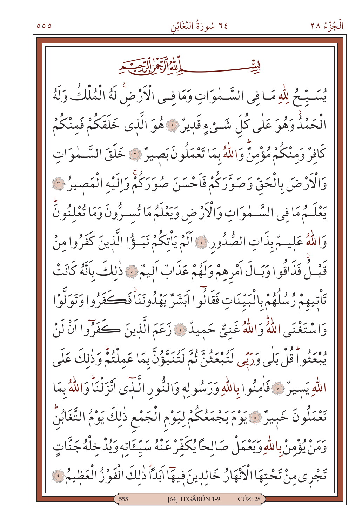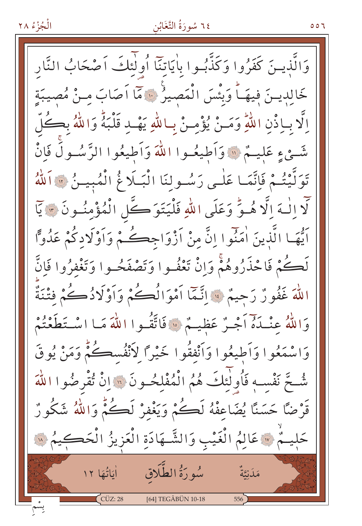#### ٢٤ سُورَةُ التَّغَابُنِ

٥٥٦

وَالَّذِينَ كَفَرُوا وَكَذَّبُوا بِاٰيَاتِنَا أُولَٰئِكَ آَصْحَابُ النَّار خَالِدِينَ فِيهَـاً وَبِئْسَ الْمَصِيرُ ۞ مَمَّا اَصَابَ مـنْ مُصِيبَة اِلَّا بِاِذْنِ اللَّهِ وَمَـنْ يُؤْمِـنْ بِاللَّهِ يَهْـدِ قَلْبَهُ وَاللَّهُ بِكُلّ شَّيْءٍ عَلِيهٌ، ﴿ وَأَطِيعُهِوا اللَّهَ وَأَطِيعُوا الرَّسُولُ فَإِنّْ تَوَلَّيْتُمْ فَإِنَّمَا عَلٰـى رَسُـولِنَا الْبَـلَا مُّ الْمُبِيـنُ ۞ اَللّٰهُ لَّا الْـهَ الَّا هُـوٌّ وَعَلَى اللَّهِ فَلْيَتَوَكَّلِ الْمُؤْمِنُونَ \* يَآا اَيُّهَا الَّذِينَ اٰمَنُوا اِنَّ مِنْ أَزْوَاجِكُمْ وَاَوْلَادِكُمْ عَدُوًّا لَڪُمْ فَاحْذَرُوهُمْ وَإِنْ تَعْفُـوا وَتَصْفَحُـوا وَتَغْفِرُوا فَإِنَّ اللَّهَ غَفُورٌ رَحِيمٌ ۚ إِنَّمَّا أَمْوَالُكُمْ وَأَوْلَادُكُ كُمْ فِتْنَةٌ وَاللَّهُ عِنْـذَهَ أَجْـرٌ عَظِيـمٌ ۚ ۚ فَاتَّقُـوا اللَّهَ مَـا اسْـتَطَعْنُمْ وَاسْمَعُوا وَأَطِيعُوا وَأَنْفَقُوا خَيْرًا لِأَنْفُسِكُمْ وَمَنْ يُوقَ شُّحَّ نَفْسِهِ فَأُولَٰئِكَ هُمُ الْمُفْلِحُونَ ۚ وَ إِنْ تُقْرِضُوا اللَّهَ قَرْضًا حَسَنًا يُضَاعِفْهُ لَكُمْ وَيَغْفِرْ لَكُمّْ وَاللَّهُ شَكُورٌ حَلِيهُمْ لِلَّهِ عَالِمُ الْغَيْبِ وَالشَّـهَادَةِ الْعَزِيزُ الْحَكِيمُ لِلَّهِ سُورَةُ الطَّلَاق مَلَنِيَّةٌ أَمَانُّفَا ١٢ CÜZ: 28 [64] TEGÂBÜN 10-18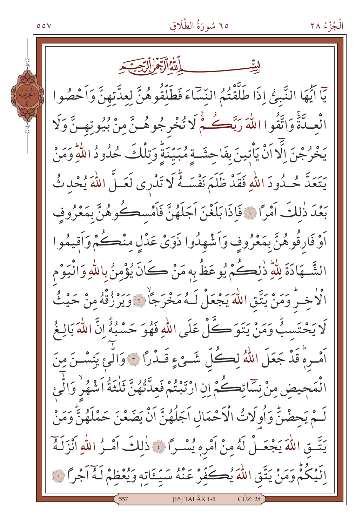### ٦٥ سُورَةُ الطَّلَاقِ

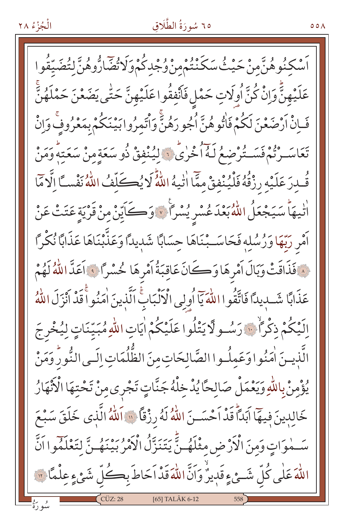# ٦٥ سُورَةُ الطَّلَاق

ٞۺ۫ڮڹؙٛۅۿؙڹؓمنْ حَيْثُ سَكَنْتُمْمِنْ وُجْدِكُمْ وَلَاتُّضَارُّوهُنَّ لتُضَيِّقُوا عَلَيْهِنَّ وَإِنْ كُنَّ أُوِلَاتٍ حَمْلٍ فَأَنْفِقُوا عَلَيْهِنَّ حَتّٰى يَضَعْنَ حَمْلَهُنَّ فَـاِنْ أَرْضَعْنَ لَكُمْ فَاتُوهُنَّ أَجُورَهُنَّ وَأَتَمِرُوا بَيْنَكُمْ بِمَعْرُوفٍ وَإِنْ تَعَاسَــرْتُمْ فَسَــتُرْضَعُ لَـهُ أُخْرٰىٍّ لِّهُ لِّمُنْفَقْ ذُو سَعَةِ منْ سَعَتهُ وَمَنْ قُدرَ عَلَيْهِ رِزْقُهُ فَلْيُنْفِقْ مِمَّا اٰتِّيهُ اللَّهُ لَا يُكَلِّفُ اللَّهُ نَفْساً إِلَّا مَّا الديماً سَيَجْعَلُ اللَّهُ بَعْدَ عُسْرِ يُسْرًا ۚ ﴾ وَكَايِّنْ مِنْ قَرْيَةٍ عَتَتْ عَنْ اَمْرِ رَبِّهَا وَرُسُلِهِ فَحَاسَـبْنَاهَا حِسَابًا شَديدًا وَعَذَّبْنَاهَا عَذَابًا نُكْرًا فَذَاقَتْ وَبَالَ أَمْرِهَا وَكَانَ عَاقِبَةُ أَمْرِهَا حُسْرًا ﴾ أَعَدَّ اللَّهُ لَهُمْ عَذَابًا شَبِيدًا فَاتَّقُوا اللَّهَ يَاۤ أُولِي الْأَلْبَابِّ اَلَّذِينَ اٰمَنُواْ قَدْ اَنْزَلَ اللَّهُ اِلَيْكُمْ ذِكْراً ۚ ۚ ۚ رَسُـولَا يَتْلُوا عَلَيْكُمْ اٰيَاتِ اللّٰهِ مُبَيِّنَاتٍ لِيُخْرِجَ الَّذينَ اٰمَنُوا وَعَمِلُوا الصَّالِحَاتِ مِنَ الظُّلُمَاتِ اِلَـى النُّورُ وَمَنْ يُؤْمِنْ بِاللَّهِ وَيَعْمَلْ صَالِحًا يُدْخِلْهُ جَنَّاتٍ تَجْرى مِنْ تَحْتِهَا الْأَنْهَارُ خَالِدِينَ فِيهَا آَبَداً قَدْ آَحْسَــنَ اللَّهُ لَهُ رِزْقاً ۚ لاَ اَللَّهُ الَّذِي خَلَقَ سَبْعَ سَّمُوَاتٍ وَمِنَ الْأَرْضِ مِثْلَهُ نِّ يَتَنَزَّلُ الْأَمْرُ بَيْنَهُ نَّ لِتَعْلَمُوا اَنَّ اللَّهَ عَلَى كُلِّ شَـيْءٍ قَدِيرٌ وَاَنَّ اللَّهَ قَدْ اَحَاطَ بِڪُلِّ شَيْءٍ عِلْمًا ۞ [65] TALÂK 6-12

 $00<sub>A</sub>$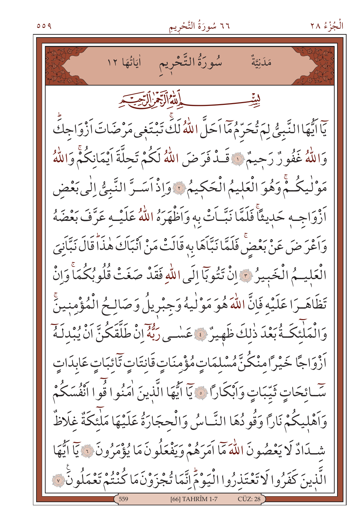### ٦٦ سُورَةُ التَّحْرِيمِ